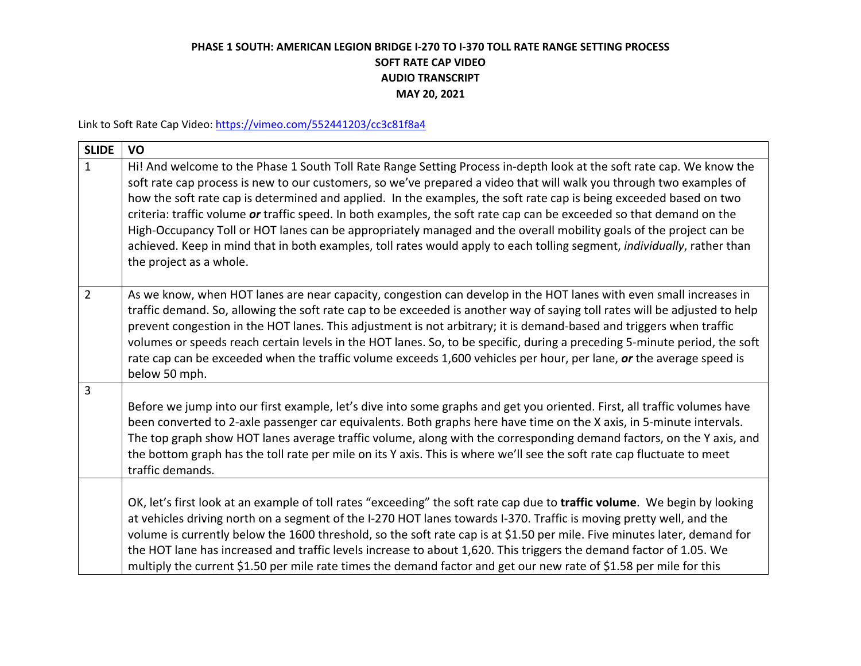## **PHASE 1 SOUTH: AMERICAN LEGION BRIDGE I-270 TO I-370 TOLL RATE RANGE SETTING PROCESS SOFT RATE CAP VIDEO AUDIO TRANSCRIPT MAY 20, 2021**

Link to Soft Rate Cap Video:<https://vimeo.com/552441203/cc3c81f8a4>

| <b>SLIDE</b>   | VO                                                                                                                                                                                                                                                                                                                                                                                                                                                                                                                                                                                                                                                                                                                                                                    |
|----------------|-----------------------------------------------------------------------------------------------------------------------------------------------------------------------------------------------------------------------------------------------------------------------------------------------------------------------------------------------------------------------------------------------------------------------------------------------------------------------------------------------------------------------------------------------------------------------------------------------------------------------------------------------------------------------------------------------------------------------------------------------------------------------|
| $\mathbf{1}$   | Hi! And welcome to the Phase 1 South Toll Rate Range Setting Process in-depth look at the soft rate cap. We know the<br>soft rate cap process is new to our customers, so we've prepared a video that will walk you through two examples of<br>how the soft rate cap is determined and applied. In the examples, the soft rate cap is being exceeded based on two<br>criteria: traffic volume or traffic speed. In both examples, the soft rate cap can be exceeded so that demand on the<br>High-Occupancy Toll or HOT lanes can be appropriately managed and the overall mobility goals of the project can be<br>achieved. Keep in mind that in both examples, toll rates would apply to each tolling segment, individually, rather than<br>the project as a whole. |
| $\overline{2}$ | As we know, when HOT lanes are near capacity, congestion can develop in the HOT lanes with even small increases in<br>traffic demand. So, allowing the soft rate cap to be exceeded is another way of saying toll rates will be adjusted to help<br>prevent congestion in the HOT lanes. This adjustment is not arbitrary; it is demand-based and triggers when traffic<br>volumes or speeds reach certain levels in the HOT lanes. So, to be specific, during a preceding 5-minute period, the soft<br>rate cap can be exceeded when the traffic volume exceeds 1,600 vehicles per hour, per lane, or the average speed is<br>below 50 mph.                                                                                                                          |
| 3              | Before we jump into our first example, let's dive into some graphs and get you oriented. First, all traffic volumes have<br>been converted to 2-axle passenger car equivalents. Both graphs here have time on the X axis, in 5-minute intervals.<br>The top graph show HOT lanes average traffic volume, along with the corresponding demand factors, on the Y axis, and<br>the bottom graph has the toll rate per mile on its Y axis. This is where we'll see the soft rate cap fluctuate to meet<br>traffic demands.                                                                                                                                                                                                                                                |
|                | OK, let's first look at an example of toll rates "exceeding" the soft rate cap due to traffic volume. We begin by looking<br>at vehicles driving north on a segment of the I-270 HOT lanes towards I-370. Traffic is moving pretty well, and the<br>volume is currently below the 1600 threshold, so the soft rate cap is at \$1.50 per mile. Five minutes later, demand for<br>the HOT lane has increased and traffic levels increase to about 1,620. This triggers the demand factor of 1.05. We<br>multiply the current \$1.50 per mile rate times the demand factor and get our new rate of \$1.58 per mile for this                                                                                                                                              |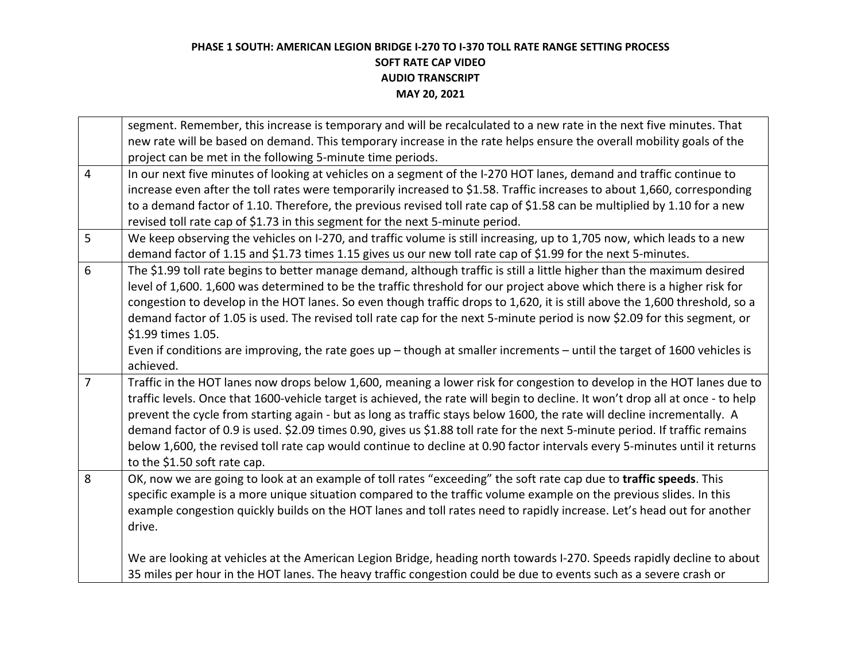## **PHASE 1 SOUTH: AMERICAN LEGION BRIDGE I-270 TO I-370 TOLL RATE RANGE SETTING PROCESS SOFT RATE CAP VIDEO AUDIO TRANSCRIPT MAY 20, 2021**

|                | segment. Remember, this increase is temporary and will be recalculated to a new rate in the next five minutes. That            |
|----------------|--------------------------------------------------------------------------------------------------------------------------------|
|                | new rate will be based on demand. This temporary increase in the rate helps ensure the overall mobility goals of the           |
|                | project can be met in the following 5-minute time periods.                                                                     |
| $\overline{4}$ | In our next five minutes of looking at vehicles on a segment of the I-270 HOT lanes, demand and traffic continue to            |
|                | increase even after the toll rates were temporarily increased to \$1.58. Traffic increases to about 1,660, corresponding       |
|                | to a demand factor of 1.10. Therefore, the previous revised toll rate cap of \$1.58 can be multiplied by 1.10 for a new        |
|                | revised toll rate cap of \$1.73 in this segment for the next 5-minute period.                                                  |
| 5              | We keep observing the vehicles on I-270, and traffic volume is still increasing, up to 1,705 now, which leads to a new         |
|                | demand factor of 1.15 and \$1.73 times 1.15 gives us our new toll rate cap of \$1.99 for the next 5-minutes.                   |
| 6              | The \$1.99 toll rate begins to better manage demand, although traffic is still a little higher than the maximum desired        |
|                | level of 1,600. 1,600 was determined to be the traffic threshold for our project above which there is a higher risk for        |
|                | congestion to develop in the HOT lanes. So even though traffic drops to 1,620, it is still above the 1,600 threshold, so a     |
|                | demand factor of 1.05 is used. The revised toll rate cap for the next 5-minute period is now \$2.09 for this segment, or       |
|                | \$1.99 times 1.05.                                                                                                             |
|                | Even if conditions are improving, the rate goes up $-$ though at smaller increments $-$ until the target of 1600 vehicles is   |
|                | achieved.                                                                                                                      |
| $\overline{7}$ | Traffic in the HOT lanes now drops below 1,600, meaning a lower risk for congestion to develop in the HOT lanes due to         |
|                | traffic levels. Once that 1600-vehicle target is achieved, the rate will begin to decline. It won't drop all at once - to help |
|                | prevent the cycle from starting again - but as long as traffic stays below 1600, the rate will decline incrementally. A        |
|                | demand factor of 0.9 is used. \$2.09 times 0.90, gives us \$1.88 toll rate for the next 5-minute period. If traffic remains    |
|                | below 1,600, the revised toll rate cap would continue to decline at 0.90 factor intervals every 5-minutes until it returns     |
|                | to the \$1.50 soft rate cap.                                                                                                   |
| 8              | OK, now we are going to look at an example of toll rates "exceeding" the soft rate cap due to traffic speeds. This             |
|                | specific example is a more unique situation compared to the traffic volume example on the previous slides. In this             |
|                | example congestion quickly builds on the HOT lanes and toll rates need to rapidly increase. Let's head out for another         |
|                | drive.                                                                                                                         |
|                |                                                                                                                                |
|                | We are looking at vehicles at the American Legion Bridge, heading north towards I-270. Speeds rapidly decline to about         |
|                | 35 miles per hour in the HOT lanes. The heavy traffic congestion could be due to events such as a severe crash or              |